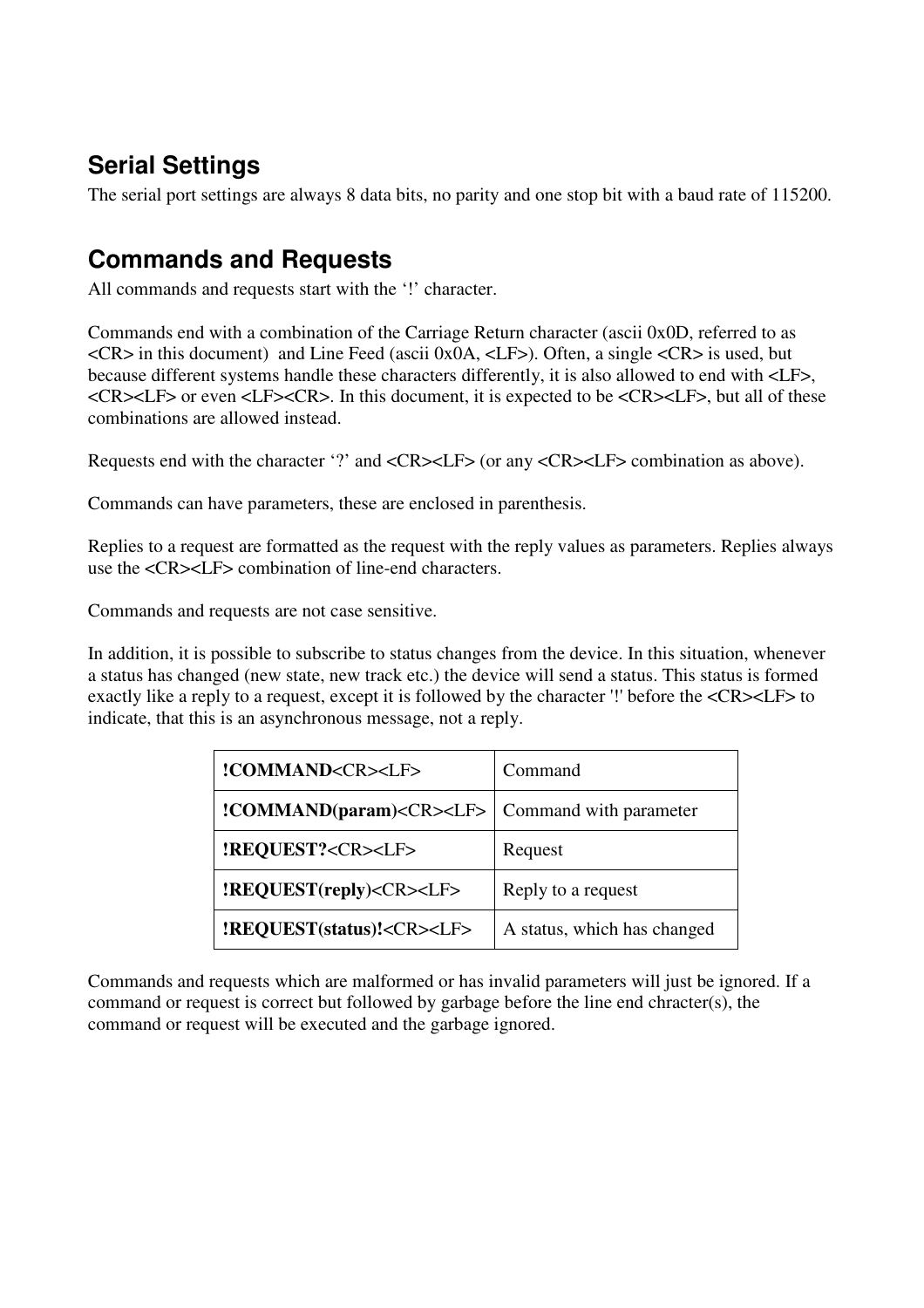## **Serial Settings**

The serial port settings are always 8 data bits, no parity and one stop bit with a baud rate of 115200.

## **Commands and Requests**

All commands and requests start with the '!' character.

Commands end with a combination of the Carriage Return character (ascii 0x0D, referred to as <CR> in this document) and Line Feed (ascii 0x0A, <LF>). Often, a single <CR> is used, but because different systems handle these characters differently, it is also allowed to end with <LF>,  $<$ CR $>$  $<$ LF $>$  or even  $<$ LF $>$  $<$ CR $>$ . In this document, it is expected to be  $<$ CR $>$  $<$ LF $>$ , but all of these combinations are allowed instead.

Requests end with the character '?' and <CR><LF> (or any <CR><LF> combination as above).

Commands can have parameters, these are enclosed in parenthesis.

Replies to a request are formatted as the request with the reply values as parameters. Replies always use the <CR><LF> combination of line-end characters.

Commands and requests are not case sensitive.

In addition, it is possible to subscribe to status changes from the device. In this situation, whenever a status has changed (new state, new track etc.) the device will send a status. This status is formed exactly like a reply to a request, except it is followed by the character '!' before the <CR><LF> to indicate, that this is an asynchronous message, not a reply.

| !COMMAND <cr><lf></lf></cr>                                       | Command                     |
|-------------------------------------------------------------------|-----------------------------|
| <b>!COMMAND(param)<cr><lf></lf></cr></b>   Command with parameter |                             |
| <b>!REQUEST?<cr><lf></lf></cr></b>                                | Request                     |
| <b>!REQUEST(reply)<cr><lf></lf></cr></b>                          | Reply to a request          |
| !REQUEST(status)! <cr><lf></lf></cr>                              | A status, which has changed |

Commands and requests which are malformed or has invalid parameters will just be ignored. If a command or request is correct but followed by garbage before the line end chracter(s), the command or request will be executed and the garbage ignored.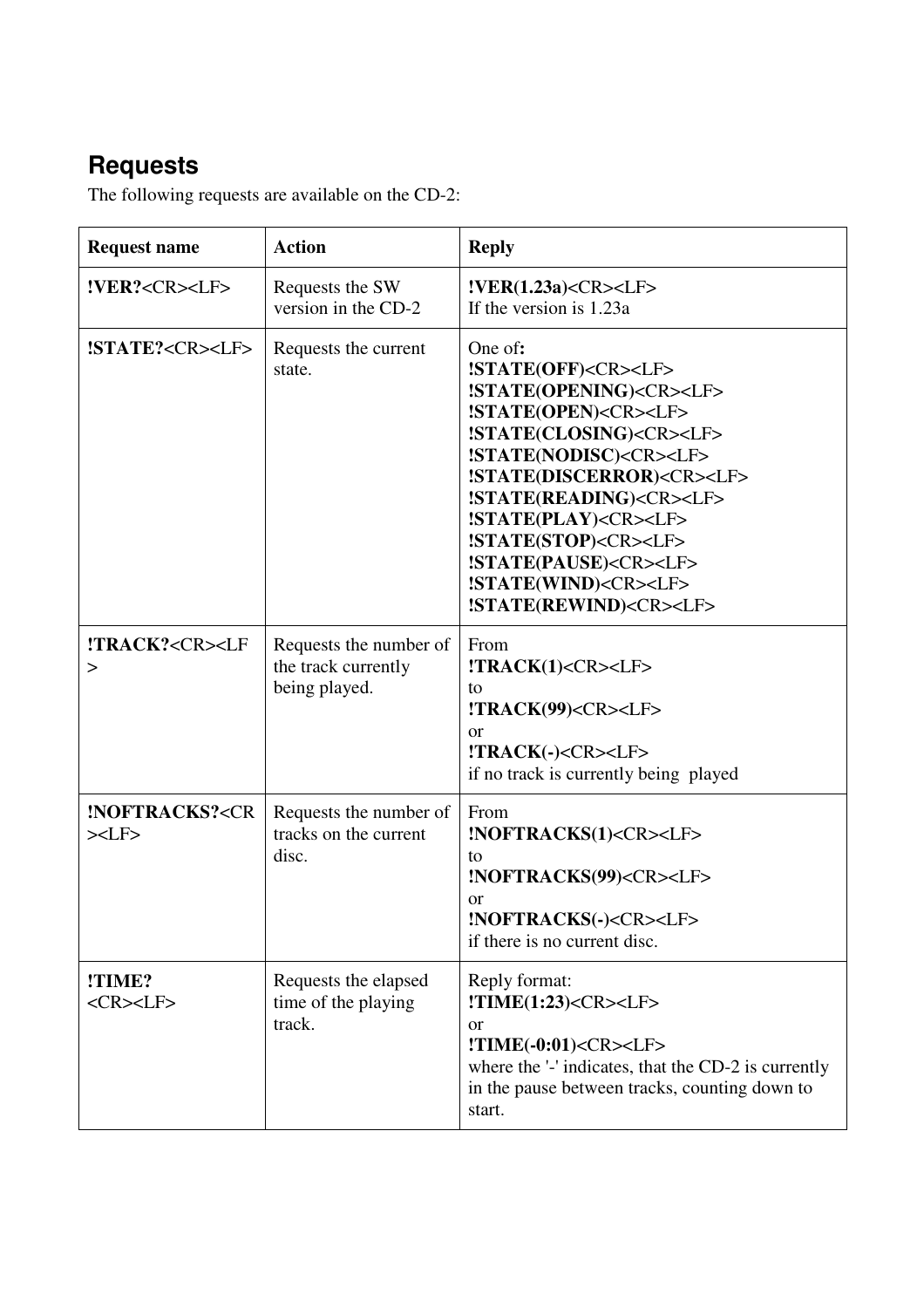## **Requests**

The following requests are available on the CD-2:

| <b>Request name</b>                                                | <b>Action</b>                                                  | <b>Reply</b>                                                                                                                                                                                                                                                                                                                                                                                                                                                  |
|--------------------------------------------------------------------|----------------------------------------------------------------|---------------------------------------------------------------------------------------------------------------------------------------------------------------------------------------------------------------------------------------------------------------------------------------------------------------------------------------------------------------------------------------------------------------------------------------------------------------|
| !VER? <cr><lf></lf></cr>                                           | Requests the SW<br>version in the CD-2                         | !VER(1.23a) <cr><llf><br/>If the version is 1.23a</llf></cr>                                                                                                                                                                                                                                                                                                                                                                                                  |
| !STATE? <cr><lf></lf></cr>                                         | Requests the current<br>state.                                 | One of:<br>!STATE(OFF) <cr><lf><br/>!STATE(OPENING)<cr><lf><br/>!STATE(OPEN)<cr><lf><br/>!STATE(CLOSING)<cr><lf><br/>!STATE(NODISC)<cr><lf><br/>!STATE(DISCERROR)<cr><lf><br/>!STATE(READING)<cr><lf><br/>!STATE(PLAY)<cr><lf><br/>!STATE(STOP)<cr><lf><br/>!STATE(PAUSE)<cr><lf><br/>!STATE(WIND)<cr><lf><br/>!STATE(REWIND)<cr><lf></lf></cr></lf></cr></lf></cr></lf></cr></lf></cr></lf></cr></lf></cr></lf></cr></lf></cr></lf></cr></lf></cr></lf></cr> |
| !TRACK? <cr><lf<br>&gt;</lf<br></cr>                               | Requests the number of<br>the track currently<br>being played. | From<br>$!$ <b>TRACK(1)<cr><lf></lf></cr></b><br>to<br>!TRACK(99) <cr><lf><br/><b>or</b><br/>!TRACK(-)<cr><lf><br/>if no track is currently being played</lf></cr></lf></cr>                                                                                                                                                                                                                                                                                  |
| <b>!NOFTRACKS?<cr< b=""><br/><math>&gt;&lt;</math>LF&gt;</cr<></b> | Requests the number of<br>tracks on the current<br>disc.       | From<br>!NOFTRACKS(1) <cr><lf><br/>to<br/>!NOFTRACKS(99)<cr><lf><br/>or<br/>!NOFTRACKS(-)<cr><lf><br/>if there is no current disc.</lf></cr></lf></cr></lf></cr>                                                                                                                                                                                                                                                                                              |
| !TIME?<br><cr><lf></lf></cr>                                       | Requests the elapsed<br>time of the playing<br>track.          | Reply format:<br>$!\mathbf{TIME}(1:23)<\mathbf{CR}><\mathbf{LF}>$<br>or<br>!TIME(-0:01) <cr><lf><br/>where the '-' indicates, that the CD-2 is currently<br/>in the pause between tracks, counting down to<br/>start.</lf></cr>                                                                                                                                                                                                                               |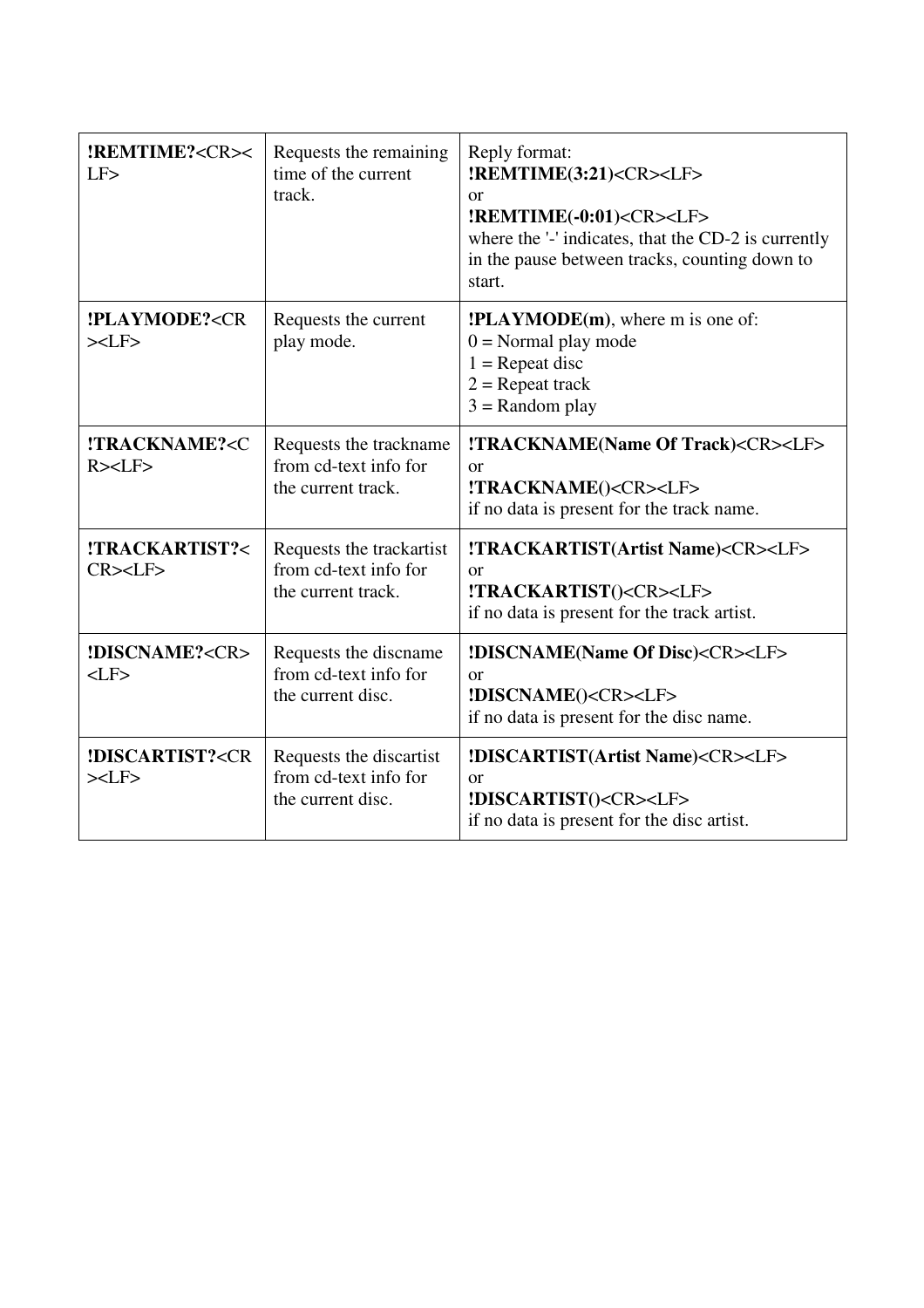| <b>!REMTIME?<cr>&lt;</cr></b><br>LF                                              | Requests the remaining<br>time of the current<br>track.                 | Reply format:<br>!REMTIME(3:21) <cr><lf><br/>or<br/><b>!REMTIME(-0:01)<cr><lf></lf></cr></b><br/>where the '-' indicates, that the CD-2 is currently<br/>in the pause between tracks, counting down to<br/>start.</lf></cr> |
|----------------------------------------------------------------------------------|-------------------------------------------------------------------------|-----------------------------------------------------------------------------------------------------------------------------------------------------------------------------------------------------------------------------|
| <b>!PLAYMODE?<cr< b=""><br/><math>&gt;&lt;</math>LF<math>&gt;</math></cr<></b>   | Requests the current<br>play mode.                                      | <b>!PLAYMODE(m)</b> , where m is one of:<br>$0 =$ Normal play mode<br>$1 =$ Repeat disc<br>$2 =$ Repeat track<br>$3 =$ Random play                                                                                          |
| !TRACKNAME? <c<br>R &gt; LF</c<br>                                               | Requests the trackname<br>from cd-text info for<br>the current track.   | !TRACKNAME(Name Of Track) <cr><lf><br/>or<br/>!TRACKNAME()<cr><lf><br/>if no data is present for the track name.</lf></cr></lf></cr>                                                                                        |
| !TRACKARTIST?<<br>$CR$ > <lf></lf>                                               | Requests the trackartist<br>from cd-text info for<br>the current track. | !TRACKARTIST(Artist Name) <cr><lf><br/>or<br/>!TRACKARTIST()<cr><lf><br/>if no data is present for the track artist.</lf></cr></lf></cr>                                                                                    |
| !DISCNAME? <cr><br/><math>&lt;</math>LF<math>&gt;</math></cr>                    | Requests the discname<br>from cd-text info for<br>the current disc.     | <b>!DISCNAME(Name Of Disc)<cr><lf></lf></cr></b><br>$\alpha$ r<br>!DISCNAME() <cr><lf><br/>if no data is present for the disc name.</lf></cr>                                                                               |
| <b>!DISCARTIST?<cr< b=""><br/><math>&gt;&lt;</math>LF<math>&gt;</math></cr<></b> | Requests the discartist<br>from cd-text info for<br>the current disc.   | !DISCARTIST(Artist Name) <cr><lf><br/>or<br/>!DISCARTIST()<cr><lf><br/>if no data is present for the disc artist.</lf></cr></lf></cr>                                                                                       |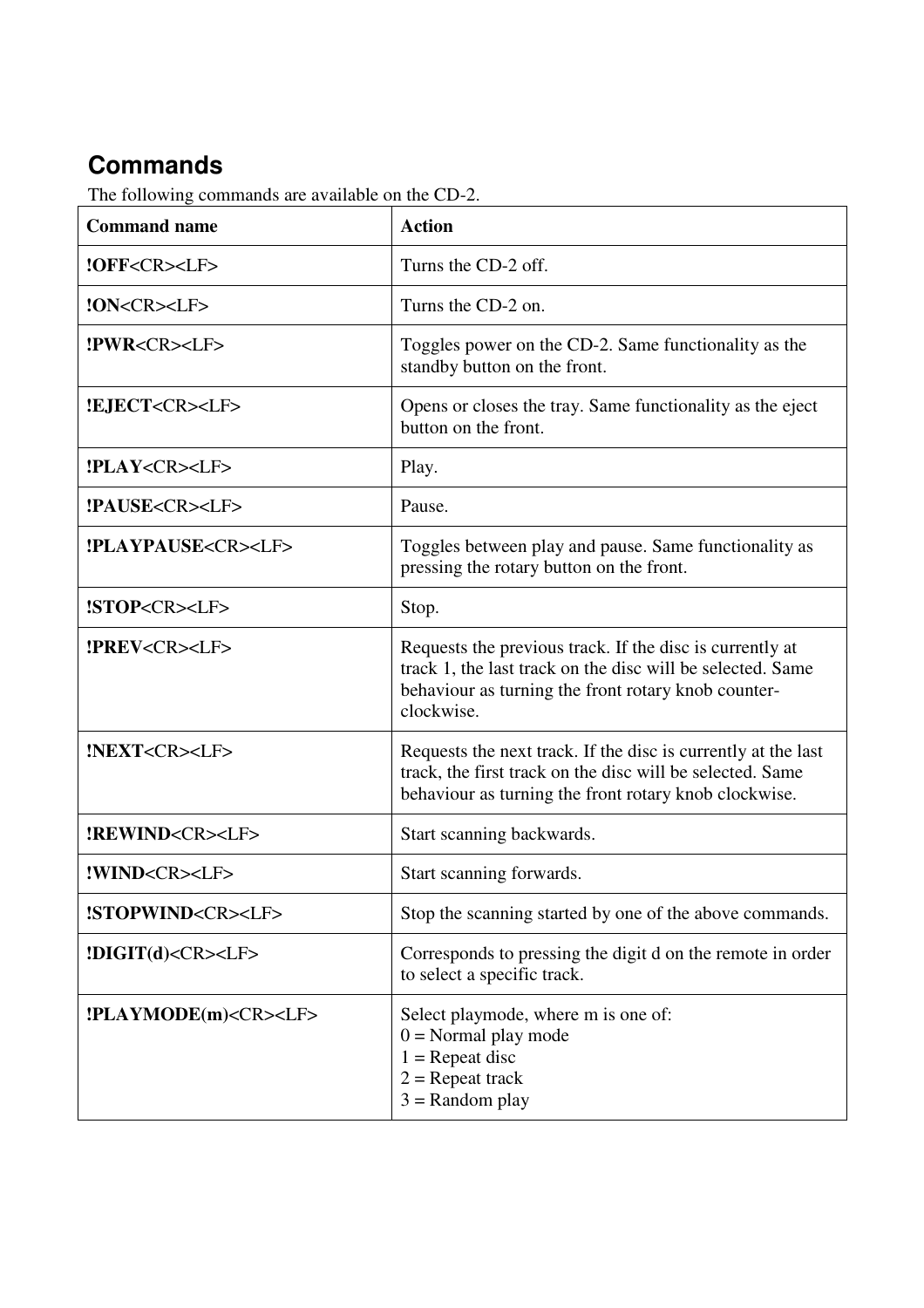## **Commands**

The following commands are available on the CD-2.

| <b>Command name</b>                 | <b>Action</b>                                                                                                                                                                               |
|-------------------------------------|---------------------------------------------------------------------------------------------------------------------------------------------------------------------------------------------|
| !OFF <cr><lf></lf></cr>             | Turns the CD-2 off.                                                                                                                                                                         |
| !ON <cr><lf></lf></cr>              | Turns the CD-2 on.                                                                                                                                                                          |
| !PWR <cr><lf></lf></cr>             | Toggles power on the CD-2. Same functionality as the<br>standby button on the front.                                                                                                        |
| <b>!EJECT<cr><lf></lf></cr></b>     | Opens or closes the tray. Same functionality as the eject<br>button on the front.                                                                                                           |
| <b>!PLAY<cr><lf></lf></cr></b>      | Play.                                                                                                                                                                                       |
| !PAUSE <cr><lf></lf></cr>           | Pause.                                                                                                                                                                                      |
| <b>!PLAYPAUSE<cr><lf></lf></cr></b> | Toggles between play and pause. Same functionality as<br>pressing the rotary button on the front.                                                                                           |
| !STOP <cr><lf></lf></cr>            | Stop.                                                                                                                                                                                       |
| <b>!PREV<cr><lf></lf></cr></b>      | Requests the previous track. If the disc is currently at<br>track 1, the last track on the disc will be selected. Same<br>behaviour as turning the front rotary knob counter-<br>clockwise. |
| !NEXT <cr><lf></lf></cr>            | Requests the next track. If the disc is currently at the last<br>track, the first track on the disc will be selected. Same<br>behaviour as turning the front rotary knob clockwise.         |
| <b>!REWIND<cr><lf></lf></cr></b>    | Start scanning backwards.                                                                                                                                                                   |
| !WIND <cr><lf></lf></cr>            | Start scanning forwards.                                                                                                                                                                    |
| !STOPWIND <cr><lf></lf></cr>        | Stop the scanning started by one of the above commands.                                                                                                                                     |
| !DIGIT(d) <cr><lf></lf></cr>        | Corresponds to pressing the digit d on the remote in order<br>to select a specific track.                                                                                                   |
| !PLAYMODE(m) <cr><lf></lf></cr>     | Select playmode, where m is one of:<br>$0 =$ Normal play mode<br>$1 =$ Repeat disc<br>$2 =$ Repeat track<br>$3 =$ Random play                                                               |